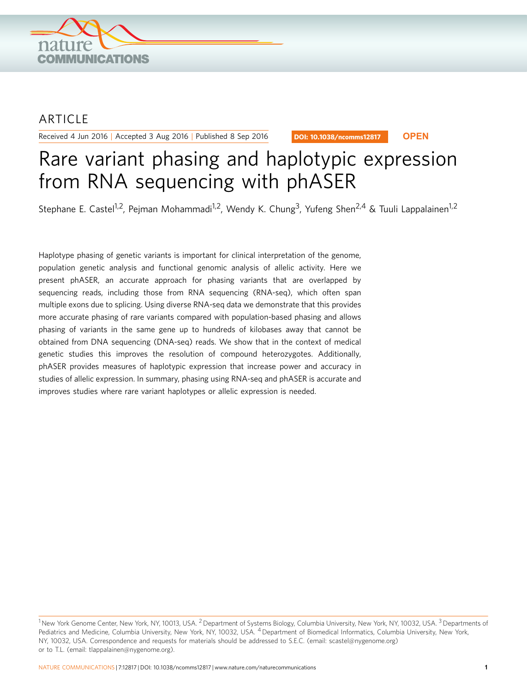

## ARTICLE

Received 4 Jun 2016 | Accepted 3 Aug 2016 | Published 8 Sep 2016

DOI: 10.1038/ncomms12817 **OPEN**

# Rare variant phasing and haplotypic expression from RNA sequencing with phASER

Stephane E. Castel<sup>1,2</sup>, Pejman Mohammadi<sup>1,2</sup>, Wendy K. Chung<sup>3</sup>, Yufeng Shen<sup>2,4</sup> & Tuuli Lappalainen<sup>1,2</sup>

Haplotype phasing of genetic variants is important for clinical interpretation of the genome, population genetic analysis and functional genomic analysis of allelic activity. Here we present phASER, an accurate approach for phasing variants that are overlapped by sequencing reads, including those from RNA sequencing (RNA-seq), which often span multiple exons due to splicing. Using diverse RNA-seq data we demonstrate that this provides more accurate phasing of rare variants compared with population-based phasing and allows phasing of variants in the same gene up to hundreds of kilobases away that cannot be obtained from DNA sequencing (DNA-seq) reads. We show that in the context of medical genetic studies this improves the resolution of compound heterozygotes. Additionally, phASER provides measures of haplotypic expression that increase power and accuracy in studies of allelic expression. In summary, phasing using RNA-seq and phASER is accurate and improves studies where rare variant haplotypes or allelic expression is needed.

<sup>&</sup>lt;sup>1</sup> New York Genome Center, New York, NY, 10013, USA. <sup>2</sup> Department of Systems Biology, Columbia University, New York, NY, 10032, USA. <sup>3</sup> Departments of Pediatrics and Medicine, Columbia University, New York, NY, 10032, USA. 4 Department of Biomedical Informatics, Columbia University, New York, NY, 10032, USA. Correspondence and requests for materials should be addressed to S.E.C. (email: [scastel@nygenome.org\)](mailto:scastel@nygenome.org) or to T.L. (email: [tlappalainen@nygenome.org\)](mailto:tlappalainen@nygenome.org).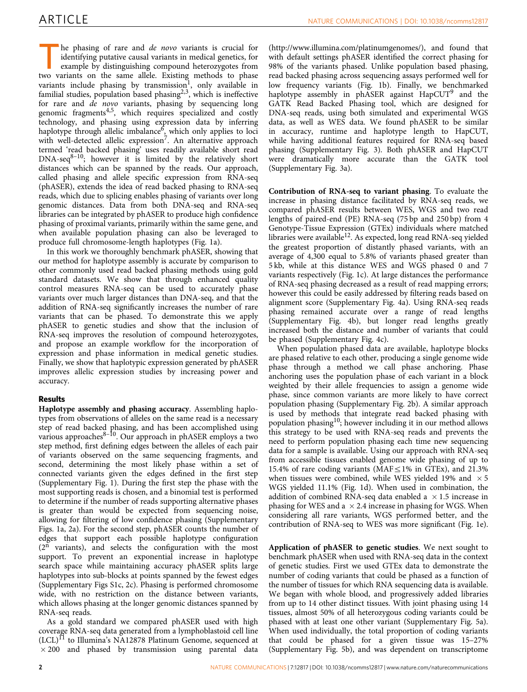he phasing of rare and *de novo* variants is crucial for identifying putative causal variants in medical genetics, for example by distinguishing compound heterozygotes from two variants on the same allele. Existing methods to phase variants include phasing by transmission<sup>[1](#page-4-0)</sup>, only available in familial studies, population based phasing<sup>[2,3](#page-4-0)</sup>, which is ineffective for rare and de novo variants, phasing by sequencing long genomic fragments $4,5$ , which requires specialized and costly technology, and phasing using expression data by inferring haplotype through allelic imbalance<sup>[6](#page-5-0)</sup>, which only applies to loci with well-detected allelic expression<sup>[7](#page-5-0)</sup>. An alternative approach termed 'read backed phasing' uses readily available short read  $DNA-seq^{8-10}$ ; however it is limited by the relatively short distances which can be spanned by the reads. Our approach, called phasing and allele specific expression from RNA-seq (phASER), extends the idea of read backed phasing to RNA-seq reads, which due to splicing enables phasing of variants over long genomic distances. Data from both DNA-seq and RNA-seq libraries can be integrated by phASER to produce high confidence phasing of proximal variants, primarily within the same gene, and when available population phasing can also be leveraged to produce full chromosome-length haplotypes ([Fig. 1a](#page-2-0)).

In this work we thoroughly benchmark phASER, showing that our method for haplotype assembly is accurate by comparison to other commonly used read backed phasing methods using gold standard datasets. We show that through enhanced quality control measures RNA-seq can be used to accurately phase variants over much larger distances than DNA-seq, and that the addition of RNA-seq significantly increases the number of rare variants that can be phased. To demonstrate this we apply phASER to genetic studies and show that the inclusion of RNA-seq improves the resolution of compound heterozygotes, and propose an example workflow for the incorporation of expression and phase information in medical genetic studies. Finally, we show that haplotypic expression generated by phASER improves allelic expression studies by increasing power and accuracy.

## Results

Haplotype assembly and phasing accuracy. Assembling haplotypes from observations of alleles on the same read is a necessary step of read backed phasing, and has been accomplished using various approaches<sup>8-10</sup>. Our approach in phASER employs a two step method, first defining edges between the alleles of each pair of variants observed on the same sequencing fragments, and second, determining the most likely phase within a set of connected variants given the edges defined in the first step (Supplementary Fig. 1). During the first step the phase with the most supporting reads is chosen, and a binomial test is performed to determine if the number of reads supporting alternative phases is greater than would be expected from sequencing noise, allowing for filtering of low confidence phasing (Supplementary Figs. 1a, 2a). For the second step, phASER counts the number of edges that support each possible haplotype configuration  $(2^{n}$  variants), and selects the configuration with the most support. To prevent an exponential increase in haplotype search space while maintaining accuracy phASER splits large haplotypes into sub-blocks at points spanned by the fewest edges (Supplementary Figs S1c, 2c). Phasing is performed chromosome wide, with no restriction on the distance between variants, which allows phasing at the longer genomic distances spanned by RNA-seq reads.

As a gold standard we compared phASER used with high coverage RNA-seq data generated from a lymphoblastoid cell line  $(LCL)^{11}$  to Illumina's NA12878 Platinum Genome, sequenced at  $\times$  200 and phased by transmission using parental data

([http://www.illumina.com/platinumgenomes/\)](http://www.illumina.com/platinumgenomes/), and found that with default settings phASER identified the correct phasing for 98% of the variants phased. Unlike population based phasing, read backed phasing across sequencing assays performed well for low frequency variants [\(Fig. 1b\)](#page-2-0). Finally, we benchmarked haplotype assembly in ph $\widehat{ASER}$  against  $\widehat{HapCUT}^9$  $\widehat{HapCUT}^9$  and the GATK Read Backed Phasing tool, which are designed for DNA-seq reads, using both simulated and experimental WGS data, as well as WES data. We found phASER to be similar in accuracy, runtime and haplotype length to HapCUT, while having additional features required for RNA-seq based phasing (Supplementary Fig. 3). Both phASER and HapCUT were dramatically more accurate than the GATK tool (Supplementary Fig. 3a).

Contribution of RNA-seq to variant phasing. To evaluate the increase in phasing distance facilitated by RNA-seq reads, we compared phASER results between WES, WGS and two read lengths of paired-end (PE) RNA-seq (75 bp and 250 bp) from 4 Genotype-Tissue Expression (GTEx) individuals where matched libraries were available<sup>[12](#page-5-0)</sup>. As expected, long read RNA-seq yielded the greatest proportion of distantly phased variants, with an average of 4,300 equal to 5.8% of variants phased greater than 5 kb, while at this distance WES and WGS phased 0 and 7 variants respectively [\(Fig. 1c](#page-2-0)). At large distances the performance of RNA-seq phasing decreased as a result of read mapping errors; however this could be easily addressed by filtering reads based on alignment score (Supplementary Fig. 4a). Using RNA-seq reads phasing remained accurate over a range of read lengths (Supplementary Fig. 4b), but longer read lengths greatly increased both the distance and number of variants that could be phased (Supplementary Fig. 4c).

When population phased data are available, haplotype blocks are phased relative to each other, producing a single genome wide phase through a method we call phase anchoring. Phase anchoring uses the population phase of each variant in a block weighted by their allele frequencies to assign a genome wide phase, since common variants are more likely to have correct population phasing (Supplementary Fig. 2b). A similar approach is used by methods that integrate read backed phasing with population phasing[10](#page-5-0); however including it in our method allows this strategy to be used with RNA-seq reads and prevents the need to perform population phasing each time new sequencing data for a sample is available. Using our approach with RNA-seq from accessible tissues enabled genome wide phasing of up to 15.4% of rare coding variants (MAF $\leq$ 1% in GTEx), and 21.3% when tissues were combined, while WES yielded 19% and  $\times$  5 WGS yielded 11.1% ([Fig. 1d](#page-2-0)). When used in combination, the addition of combined RNA-seq data enabled a  $\times$  1.5 increase in phasing for WES and a  $\times$  2.4 increase in phasing for WGS. When considering all rare variants, WGS performed better, and the contribution of RNA-seq to WES was more significant ([Fig. 1e](#page-2-0)).

Application of phASER to genetic studies. We next sought to benchmark phASER when used with RNA-seq data in the context of genetic studies. First we used GTEx data to demonstrate the number of coding variants that could be phased as a function of the number of tissues for which RNA sequencing data is available. We began with whole blood, and progressively added libraries from up to 14 other distinct tissues. With joint phasing using 14 tissues, almost 50% of all heterozygous coding variants could be phased with at least one other variant (Supplementary Fig. 5a). When used individually, the total proportion of coding variants that could be phased for a given tissue was 15–27% (Supplementary Fig. 5b), and was dependent on transcriptome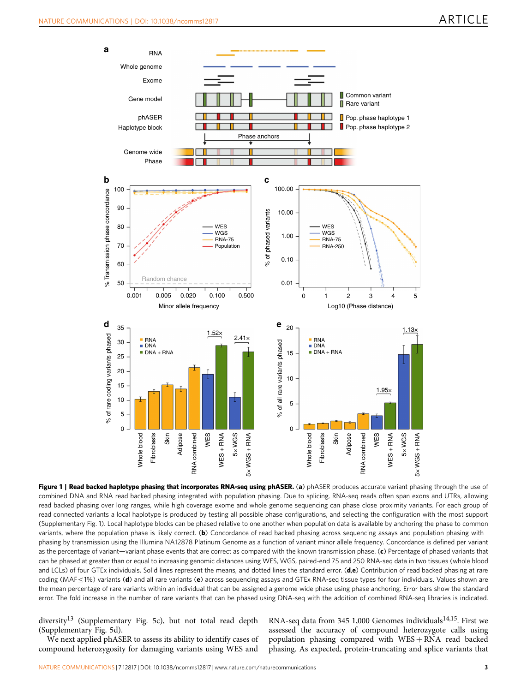<span id="page-2-0"></span>

Figure 1 | Read backed haplotype phasing that incorporates RNA-seq using phASER. (a) phASER produces accurate variant phasing through the use of combined DNA and RNA read backed phasing integrated with population phasing. Due to splicing, RNA-seq reads often span exons and UTRs, allowing read backed phasing over long ranges, while high coverage exome and whole genome sequencing can phase close proximity variants. For each group of read connected variants a local haplotype is produced by testing all possible phase configurations, and selecting the configuration with the most support (Supplementary Fig. 1). Local haplotype blocks can be phased relative to one another when population data is available by anchoring the phase to common variants, where the population phase is likely correct. (b) Concordance of read backed phasing across sequencing assays and population phasing with phasing by transmission using the Illumina NA12878 Platinum Genome as a function of variant minor allele frequency. Concordance is defined per variant as the percentage of variant—variant phase events that are correct as compared with the known transmission phase. (c) Percentage of phased variants that can be phased at greater than or equal to increasing genomic distances using WES, WGS, paired-end 75 and 250 RNA-seq data in two tissues (whole blood and LCLs) of four GTEx individuals. Solid lines represent the means, and dotted lines the standard error. ( $d,e$ ) Contribution of read backed phasing at rare coding (MAF $\leq$ 1%) variants (d) and all rare variants (e) across sequencing assays and GTEx RNA-seq tissue types for four individuals. Values shown are the mean percentage of rare variants within an individual that can be assigned a genome wide phase using phase anchoring. Error bars show the standard error. The fold increase in the number of rare variants that can be phased using DNA-seq with the addition of combined RNA-seq libraries is indicated.

diversity<sup>[13](#page-5-0)</sup> (Supplementary Fig. 5c), but not total read depth (Supplementary Fig. 5d).

We next applied phASER to assess its ability to identify cases of compound heterozygosity for damaging variants using WES and

RNA-seq data from 345 1,000 Genomes individuals<sup>14,15</sup>. First we assessed the accuracy of compound heterozygote calls using population phasing compared with  $WES + RNA$  read backed phasing. As expected, protein-truncating and splice variants that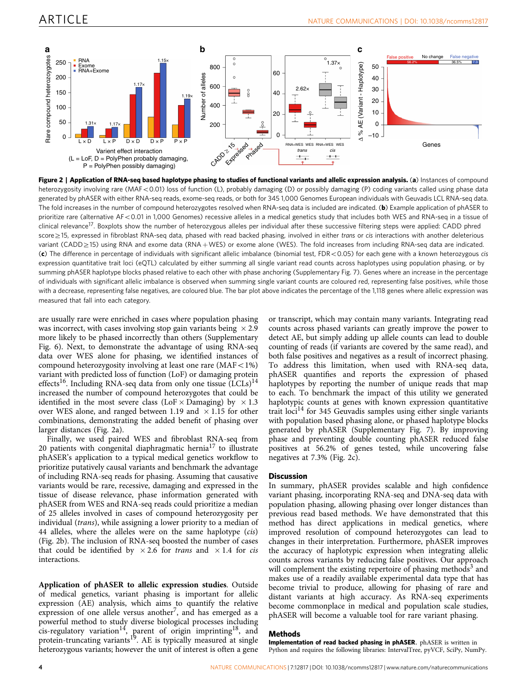

Figure 2 | Application of RNA-seq based haplotype phasing to studies of functional variants and allelic expression analysis. (a) Instances of compound heterozygosity involving rare (MAF<0.01) loss of function (L), probably damaging (D) or possibly damaging (P) coding variants called using phase data generated by phASER with either RNA-seq reads, exome-seq reads, or both for 345 1,000 Genomes European individuals with Geuvadis LCL RNA-seq data. The fold increases in the number of compound heterozygotes resolved when RNA-seq data is included are indicated. (b) Example application of phASER to prioritize rare (alternative AF<0.01 in 1,000 Genomes) recessive alleles in a medical genetics study that includes both WES and RNA-seq in a tissue of clinical relevance<sup>17</sup>. Boxplots show the number of heterozygous alleles per individual after these successive filtering steps were applied: CADD phred score  $\geq$ 15, expressed in fibroblast RNA-seq data, phased with read backed phasing, involved in either trans or cis interactions with another deleterious variant (CADD $\geq$ 15) using RNA and exome data (RNA + WES) or exome alone (WES). The fold increases from including RNA-seq data are indicated. (c) The difference in percentage of individuals with significant allelic imbalance (binomial test, FDR < 0.05) for each gene with a known heterozygous cis expression quantitative trait loci (eQTL) calculated by either summing all single variant read counts across haplotypes using population phasing, or by summing phASER haplotype blocks phased relative to each other with phase anchoring (Supplementary Fig. 7). Genes where an increase in the percentage of individuals with significant allelic imbalance is observed when summing single variant counts are coloured red, representing false positives, while those with a decrease, representing false negatives, are coloured blue. The bar plot above indicates the percentage of the 1,118 genes where allelic expression was measured that fall into each category.

are usually rare were enriched in cases where population phasing was incorrect, with cases involving stop gain variants being  $\times$  2.9 more likely to be phased incorrectly than others (Supplementary Fig. 6). Next, to demonstrate the advantage of using RNA-seq data over WES alone for phasing, we identified instances of compound heterozygosity involving at least one rare  $(MAF<1%)$ variant with predicted loss of function (LoF) or damaging protein effects<sup>[16](#page-5-0)</sup>. Including RNA-seq data from only one tissue  $(LCLs)^{14}$ increased the number of compound heterozygotes that could be identified in the most severe class (LoF $\times$ Damaging) by  $\times 1.3$ over WES alone, and ranged between 1.19 and  $\,\times\,$  1.15 for other combinations, demonstrating the added benefit of phasing over larger distances (Fig. 2a).

Finally, we used paired WES and fibroblast RNA-seq from 20 patients with congenital diaphragmatic hernia $17$  to illustrate phASER's application to a typical medical genetics workflow to prioritize putatively causal variants and benchmark the advantage of including RNA-seq reads for phasing. Assuming that causative variants would be rare, recessive, damaging and expressed in the tissue of disease relevance, phase information generated with phASER from WES and RNA-seq reads could prioritize a median of 25 alleles involved in cases of compound heterozygosity per individual (trans), while assigning a lower priority to a median of 44 alleles, where the alleles were on the same haplotype (cis) (Fig. 2b). The inclusion of RNA-seq boosted the number of cases that could be identified by  $\times 2.6$  for trans and  $\times 1.4$  for cis interactions.

Application of phASER to allelic expression studies. Outside of medical genetics, variant phasing is important for allelic expression (AE) analysis, which aims to quantify the relative expression of one allele versus another<sup>7</sup>, and has emerged as a powerful method to study diverse biological processes including cis-regulatory variation<sup>[14](#page-5-0)</sup>, parent of origin imprinting<sup>18</sup>, and protein-truncating variants<sup>[19](#page-5-0)</sup>. AE is typically measured at single heterozygous variants; however the unit of interest is often a gene or transcript, which may contain many variants. Integrating read counts across phased variants can greatly improve the power to detect AE, but simply adding up allele counts can lead to double counting of reads (if variants are covered by the same read), and both false positives and negatives as a result of incorrect phasing. To address this limitation, when used with RNA-seq data, phASER quantifies and reports the expression of phased haplotypes by reporting the number of unique reads that map to each. To benchmark the impact of this utility we generated haplotypic counts at genes with known expression quantitative trait  $\log^{14}$  $\log^{14}$  $\log^{14}$  for 345 Geuvadis samples using either single variants with population based phasing alone, or phased haplotype blocks generated by phASER (Supplementary Fig. 7). By improving phase and preventing double counting phASER reduced false positives at 56.2% of genes tested, while uncovering false negatives at 7.3% (Fig. 2c).

#### **Discussion**

In summary, phASER provides scalable and high confidence variant phasing, incorporating RNA-seq and DNA-seq data with population phasing, allowing phasing over longer distances than previous read based methods. We have demonstrated that this method has direct applications in medical genetics, where improved resolution of compound heterozygotes can lead to changes in their interpretation. Furthermore, phASER improves the accuracy of haplotypic expression when integrating allelic counts across variants by reducing false positives. Our approach will complement the existing repertoire of phasing methods<sup>3</sup> and makes use of a readily available experimental data type that has become trivial to produce, allowing for phasing of rare and distant variants at high accuracy. As RNA-seq experiments become commonplace in medical and population scale studies, phASER will become a valuable tool for rare variant phasing.

#### **Methods**

Implementation of read backed phasing in phASER. phASER is written in Python and requires the following libraries: IntervalTree, pyVCF, SciPy, NumPy.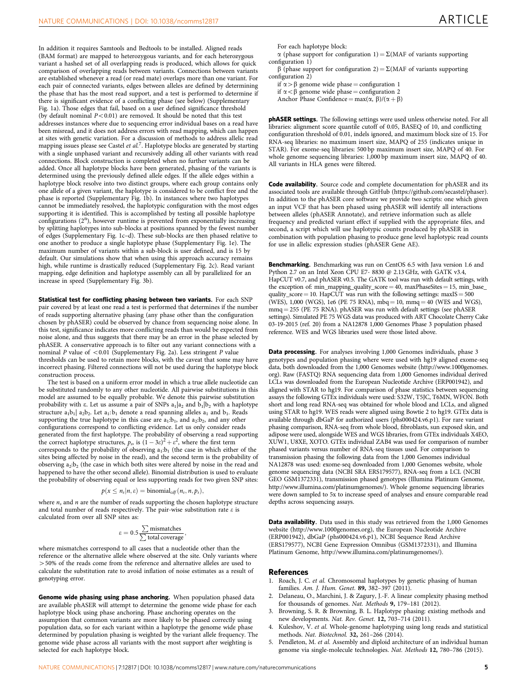<span id="page-4-0"></span>In addition it requires Samtools and Bedtools to be installed. Aligned reads (BAM format) are mapped to heterozygous variants, and for each heterozygous variant a hashed set of all overlapping reads is produced, which allows for quick comparison of overlapping reads between variants. Connections between variants are established whenever a read (or read mate) overlaps more than one variant. For each pair of connected variants, edges between alleles are defined by determining the phase that has the most read support, and a test is performed to determine if there is significant evidence of a conflicting phase (see below) (Supplementary Fig. 1a). Those edges that fail, based on a user defined significance threshold (by default nominal  $P < 0.01$ ) are removed. It should be noted that this test addresses instances where due to sequencing error individual bases on a read have been misread, and it does not address errors with read mapping, which can happen at sites with genetic variation. For a discussion of methods to address allelic read mapping issues please see Castel et  $al$ .<sup>7</sup>. Haplotype blocks are generated by starting with a single unphased variant and recursively adding all other variants with read connections. Block construction is completed when no further variants can be added. Once all haplotype blocks have been generated, phasing of the variants is determined using the previously defined allele edges. If the allele edges within a haplotype block resolve into two distinct groups, where each group contains only one allele of a given variant, the haplotype is considered to be conflict free and the phase is reported (Supplementary Fig. 1b). In instances where two haplotypes cannot be immediately resolved, the haplotypic configuration with the most edges supporting it is identified. This is accomplished by testing all possible haplotype configurations (2<sup>n</sup>), however runtime is prevented from exponentially increasing by splitting haplotypes into sub-blocks at positions spanned by the fewest number of edges (Supplementary Fig. 1c–d). These sub-blocks are then phased relative to one another to produce a single haplotype phase (Supplementary Fig. 1e). The maximum number of variants within a sub-block is user defined, and is 15 by

default. Our simulations show that when using this approach accuracy remains high, while runtime is drastically reduced (Supplementary Fig. 2c). Read variant mapping, edge definition and haplotype assembly can all by parallelized for an increase in speed (Supplementary Fig. 3b).

Statistical test for conflicting phasing between two variants. For each SNP pair covered by at least one read a test is performed that determines if the number of reads supporting alternative phasing (any phase other than the configuration chosen by phASER) could be observed by chance from sequencing noise alone. In this test, significance indicates more conflicting reads than would be expected from noise alone, and thus suggests that there may be an error in the phase selected by phASER. A conservative approach is to filter out any variant connections with a nominal  $P$  value of  $< 0.01$  (Supplementary Fig. 2a). Less stringent  $P$  value thresholds can be used to retain more blocks, with the caveat that some may have incorrect phasing. Filtered connections will not be used during the haplotype block construction process.

The test is based on a uniform error model in which a true allele nucleotide can be substituted randomly to any other nucleotide. All pairwise substitutions in this model are assumed to be equally probable. We denote this pairwise substitution probability with  $\varepsilon$ . Let us assume a pair of SNPs  $a_1|a_2$  and  $b_1|b_2$  with a haplotype structure  $a_1b_1|$   $a_2b_2$ . Let  $a_1:b_1$  denote a read spanning alleles  $a_1$  and  $b_1$ . Reads supporting the true haplotype in this case are  $a_1:b_1$ , and  $a_2:b_2$ , and any other configurations correspond to conflicting evidence. Let us only consider reads generated from the first haplotype. The probability of observing a read supporting the correct haplotype structures,  $p_s$ , is  $(1-3\varepsilon)^2 + \varepsilon^2$ , where the first term corresponds to the probability of observing  $a_1:b_1$  (the case in which either of the sites being affected by noise in the read), and the second term is the probability of observing  $a_2:b_2$  (the case in which both sites were altered by noise in the read and happened to have the other second allele). Binomial distribution is used to evaluate the probability of observing equal or less supporting reads for two given SNP sites:

$$
p(x \leq n_s | n, \varepsilon) = binomial_{cdf}(n_s, n, p_s),
$$

where  $n_s$  and  $n$  are the number of reads supporting the chosen haplotype structure and total number of reads respectively. The pair-wise substitution rate  $\varepsilon$  is calculated from over all SNP sites as:

$$
\varepsilon = 0.5 \frac{\sum \text{mismatches}}{\sum \text{total coverage}},
$$

where mismatches correspond to all cases that a nucleotide other than the reference or the alternative allele where observed at the site. Only variants where  $>50\%$  of the reads come from the reference and alternative alleles are used to calculate the substitution rate to avoid inflation of noise estimates as a result of genotyping error.

Genome wide phasing using phase anchoring. When population phased data are available phASER will attempt to determine the genome wide phase for each haplotype block using phase anchoring. Phase anchoring operates on the assumption that common variants are more likely to be phased correctly using population data, so for each variant within a haplotype the genome wide phase determined by population phasing is weighted by the variant allele frequency. The genome wide phase across all variants with the most support after weighting is selected for each haplotype block.

For each haplotype block:  $\alpha$  (phase support for configuration 1) =  $\Sigma$ (MAF of variants supporting configuration 1)

 $\beta$  (phase support for configuration 2) =  $\Sigma$ (MAF of variants supporting configuration 2)

if  $\alpha > \beta$  genome wide phase = configuration 1

if  $\alpha < \beta$  genome wide phase = configuration 2 Anchor Phase Confidence =  $max(\alpha, \beta)/(\alpha + \beta)$ 

phASER settings. The following settings were used unless otherwise noted. For all libraries: alignment score quantile cutoff of 0.05, BASEQ of 10, and conflicting configuration threshold of 0.01, indels ignored, and maximum block size of 15. For RNA-seq libraries: no maximum insert size, MAPQ of 255 (indicates unique in STAR). For exome-seq libraries: 500 bp maximum insert size, MAPQ of 40. For whole genome sequencing libraries: 1,000 bp maximum insert size, MAPQ of 40. All variants in HLA genes were filtered.

Code availability. Source code and complete documentation for phASER and its associated tools are available through GitHub [\(https://github.com/secastel/phaser](https://github.com/secastel/phaser)). In addition to the phASER core software we provide two scripts: one which given an input VCF that has been phased using phASER will identify all interactions between alleles (phASER Annotate), and retrieve information such as allele frequency and predicted variant effect if supplied with the appropriate files, and second, a script which will use haplotypic counts produced by phASER in combination with population phasing to produce gene level haplotypic read counts for use in allelic expression studies (phASER Gene AE).

Benchmarking. Benchmarking was run on CentOS 6.5 with Java version 1.6 and Python 2.7 on an Intel Xeon CPU E7- 8830 @ 2.13 GHz, with GATK v3.4, HapCUT v0.7, and phASER v0.5. The GATK tool was run with default settings, with the exception of: min\_mapping\_quality\_score = 40, maxPhaseSites = 15, min\_base\_ quality\_score  $= 10$ . HapCUT was run with the following settings: maxIS  $= 500$ (WES), 1,000 (WGS), 1e6 (PE 75 RNA),  $mba = 10$ ,  $mma = 40$  (WES and WGS), mmq = 255 (PE 75 RNA). phASER was run with default settings (see phASER settings). Simulated PE 75 WGS data was produced with ART Chocolate Cherry Cake 03-19-2015 [\(ref. 20](#page-5-0)) from a NA12878 1,000 Genomes Phase 3 population phased reference. WES and WGS libraries used were those listed above.

Data processing. For analyses involving 1,000 Genomes individuals, phase 3 genotypes and population phasing where were used with hg19 aligned exome-seq data, both downloaded from the 1,000 Genomes website [\(http://www.1000genomes.](http://www.1000genomes.org) [org](http://www.1000genomes.org)). Raw (FASTQ) RNA sequencing data from 1,000 Genomes individual derived LCLs was downloaded from the European Nucleotide Archive (ERP001942), and aligned with STAR to hg19. For comparison of phase statistics between sequencing assays the following GTEx individuals were used: S32W, T5JC, T6MN, WFON. Both short and long read RNA-seq was obtained for whole blood and LCLs, and aligned using STAR to hg19. WES reads were aligned using Bowtie 2 to hg19. GTEx data is available through dbGaP for authorized users (phs000424.v6.p1). For rare variant phasing comparison, RNA-seq from whole blood, fibroblasts, sun exposed skin, and adipose were used, alongside WES and WGS libraries, from GTEx individuals X4EO, XUW1, U8XE, XOTO. GTEx individual ZAB4 was used for comparison of number phased variants versus number of RNA-seq tissues used. For comparison to transmission phasing the following data from the 1,000 Genomes individual NA12878 was used: exome-seq downloaded from 1,000 Genomes website, whole genome sequencing data (NCBI SRA ERS179577), RNA-seq from a LCL (NCBI GEO GSM1372331), transmission phased genotypes (Illumina Platinum Genome, <http://www.illumina.com/platinumgenomes/>). Whole genome sequencing libraries were down sampled to 5x to increase speed of analyses and ensure comparable read depths across sequencing assays.

Data availability. Data used in this study was retrieved from the 1,000 Genomes website (<http://www.1000genomes.org>), the European Nucleotide Archive (ERP001942), dbGaP (phs000424.v6.p1), NCBI Sequence Read Archive (ERS179577), NCBI Gene Expression Omnibus (GSM1372331), and Illumina Platinum Genome, [http://www.illumina.com/platinumgenomes/\)](http://www.illumina.com/platinumgenomes/).

#### **References**

- 1. Roach, J. C. et al. Chromosomal haplotypes by genetic phasing of human families. Am. J. Hum. Genet. 89, 382–397 (2011).
- 2. Delaneau, O., Marchini, J. & Zagury, J.-F. A linear complexity phasing method for thousands of genomes. Nat. Methods 9, 179–181 (2012).
- 3. Browning, S. R. & Browning, B. L. Haplotype phasing: existing methods and new developments. Nat. Rev. Genet. 12, 703–714 (2011).
- Kuleshov, V. et al. Whole-genome haplotyping using long reads and statistical methods. Nat. Biotechnol. 32, 261–266 (2014).
- 5. Pendleton, M. et al. Assembly and diploid architecture of an individual human genome via single-molecule technologies. Nat. Methods 12, 780–786 (2015).